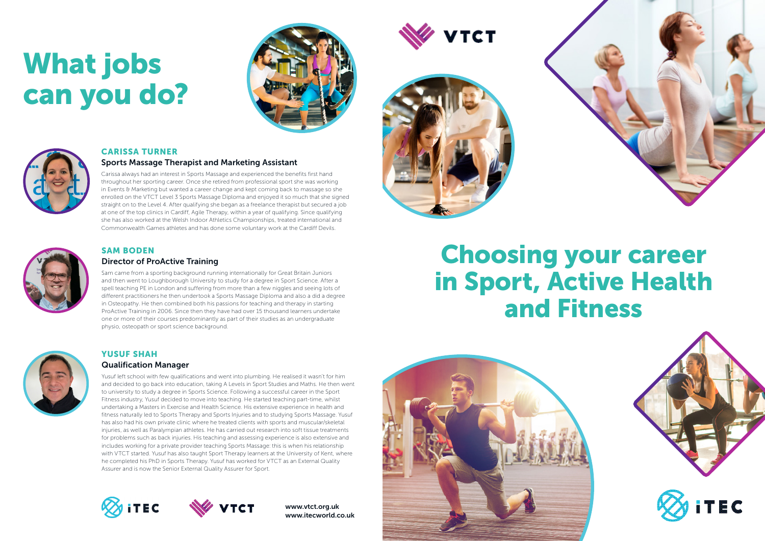### CARISSA TURNER

#### Sports Massage Therapist and Marketing Assistant

Carissa always had an interest in Sports Massage and experienced the benefits first hand throughout her sporting career. Once she retired from professional sport she was working in Events & Marketing but wanted a career change and kept coming back to massage so she enrolled on the VTCT Level 3 Sports Massage Diploma and enjoyed it so much that she signed straight on to the Level 4. After qualifying she began as a freelance therapist but secured a job at one of the top clinics in Cardiff, Agile Therapy, within a year of qualifying. Since qualifying she has also worked at the Welsh Indoor Athletics Championships, treated international and Commonwealth Games athletes and has done some voluntary work at the Cardiff Devils.



#### SAM BODEN

#### Director of ProActive Training

Sam came from a sporting background running internationally for Great Britain Juniors and then went to Loughborough University to study for a degree in Sport Science. After a spell teaching PE in London and suffering from more than a few niggles and seeing lots of different practitioners he then undertook a Sports Massage Diploma and also a did a degree in Osteopathy. He then combined both his passions for teaching and therapy in starting ProActive Training in 2006. Since then they have had over 15 thousand learners undertake one or more of their courses predominantly as part of their studies as an undergraduate physio, osteopath or sport science background.



#### YUSUF SHAH

#### Qualification Manager

Yusuf left school with few qualifications and went into plumbing. He realised it wasn't for him and decided to go back into education, taking A Levels in Sport Studies and Maths. He then went to university to study a degree in Sports Science. Following a successful career in the Sport Fitness industry, Yusuf decided to move into teaching. He started teaching part-time, whilst undertaking a Masters in Exercise and Health Science. His extensive experience in health and fitness naturally led to Sports Therapy and Sports Injuries and to studying Sports Massage. Yusuf has also had his own private clinic where he treated clients with sports and muscular/skeletal injuries, as well as Paralympian athletes. He has carried out research into soft tissue treatments for problems such as back injuries. His teaching and assessing experience is also extensive and includes working for a private provider teaching Sports Massage: this is when his relationship with VTCT started. Yusuf has also taught Sport Therapy learners at the University of Kent, where he completed his PhD in Sports Therapy. Yusuf has worked for VTCT as an External Quality Assurer and is now the Senior External Quality Assurer for Sport.





# What jobs can you do?





www.vtct.org.uk www.itecworld.co.uk





## Choosing your career in Sport, Active Health and Fitness